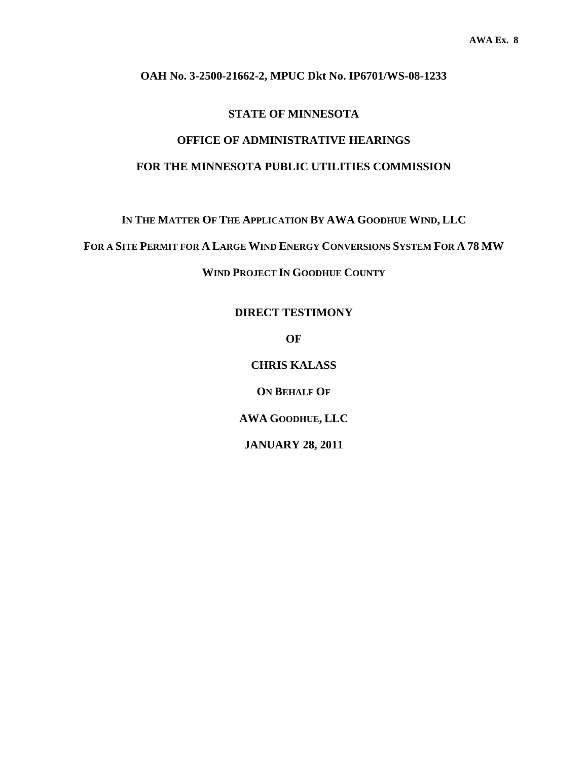# **OAH No. 3-2500-21662-2, MPUC Dkt No. IP6701/WS-08-1233**

# **STATE OF MINNESOTA**

# **OFFICE OF ADMINISTRATIVE HEARINGS FOR THE MINNESOTA PUBLIC UTILITIES COMMISSION**

**IN THE MATTER OF THE APPLICATION BY AWA GOODHUE WIND, LLC** 

**FOR A SITE PERMIT FOR A LARGE WIND ENERGY CONVERSIONS SYSTEM FOR A 78 MW**

**WIND PROJECT IN GOODHUE COUNTY** 

**DIRECT TESTIMONY** 

**OF** 

**CHRIS KALASS** 

**ON BEHALF OF**

**AWA GOODHUE, LLC** 

**JANUARY 28, 2011**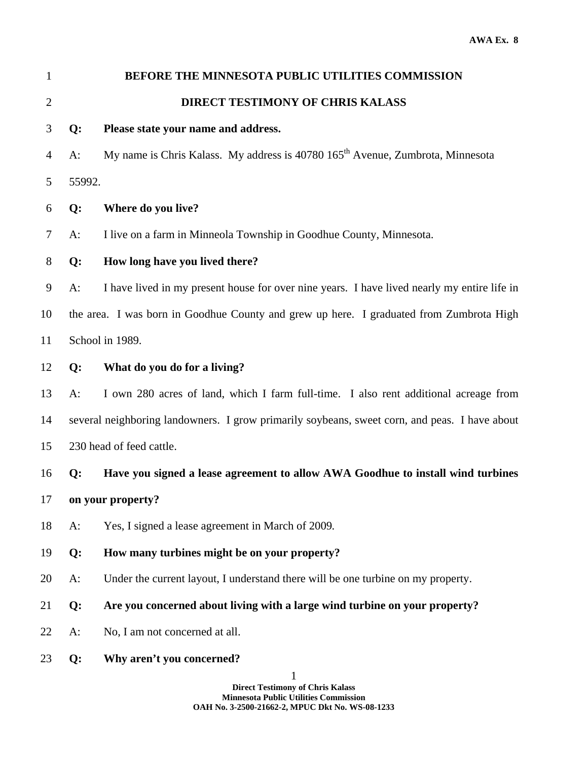| $\mathbf{1}$   |                                                                                               | BEFORE THE MINNESOTA PUBLIC UTILITIES COMMISSION                                            |  |
|----------------|-----------------------------------------------------------------------------------------------|---------------------------------------------------------------------------------------------|--|
| $\overline{2}$ |                                                                                               | DIRECT TESTIMONY OF CHRIS KALASS                                                            |  |
| 3              | Q:                                                                                            | Please state your name and address.                                                         |  |
| 4              | $A$ :                                                                                         | My name is Chris Kalass. My address is 40780 165 <sup>th</sup> Avenue, Zumbrota, Minnesota  |  |
| 5              | 55992.                                                                                        |                                                                                             |  |
| 6              | Q:                                                                                            | Where do you live?                                                                          |  |
| 7              | $A$ :                                                                                         | I live on a farm in Minneola Township in Goodhue County, Minnesota.                         |  |
| $8\,$          | Q:                                                                                            | How long have you lived there?                                                              |  |
| 9              | $A$ :                                                                                         | I have lived in my present house for over nine years. I have lived nearly my entire life in |  |
| 10             |                                                                                               | the area. I was born in Goodhue County and grew up here. I graduated from Zumbrota High     |  |
| 11             | School in 1989.                                                                               |                                                                                             |  |
| 12             | Q:                                                                                            | What do you do for a living?                                                                |  |
| 13             | $A$ :                                                                                         | I own 280 acres of land, which I farm full-time. I also rent additional acreage from        |  |
| 14             | several neighboring landowners. I grow primarily soybeans, sweet corn, and peas. I have about |                                                                                             |  |
| 15             | 230 head of feed cattle.                                                                      |                                                                                             |  |
| 16             | Q:                                                                                            | Have you signed a lease agreement to allow AWA Goodhue to install wind turbines             |  |
| 17             | on your property?                                                                             |                                                                                             |  |
| 18             | $A$ :                                                                                         | Yes, I signed a lease agreement in March of 2009.                                           |  |
| 19             | Q:                                                                                            | How many turbines might be on your property?                                                |  |
| 20             | $A$ :                                                                                         | Under the current layout, I understand there will be one turbine on my property.            |  |
| 21             | Q:                                                                                            | Are you concerned about living with a large wind turbine on your property?                  |  |
| 22             | $A$ :                                                                                         | No, I am not concerned at all.                                                              |  |
| 23             | Q:                                                                                            | Why aren't you concerned?                                                                   |  |
|                |                                                                                               | 1<br><b>Direct Testimony of Chris Kalass</b>                                                |  |

**Minnesota Public Utilities Commission OAH No. 3-2500-21662-2, MPUC Dkt No. WS-08-1233**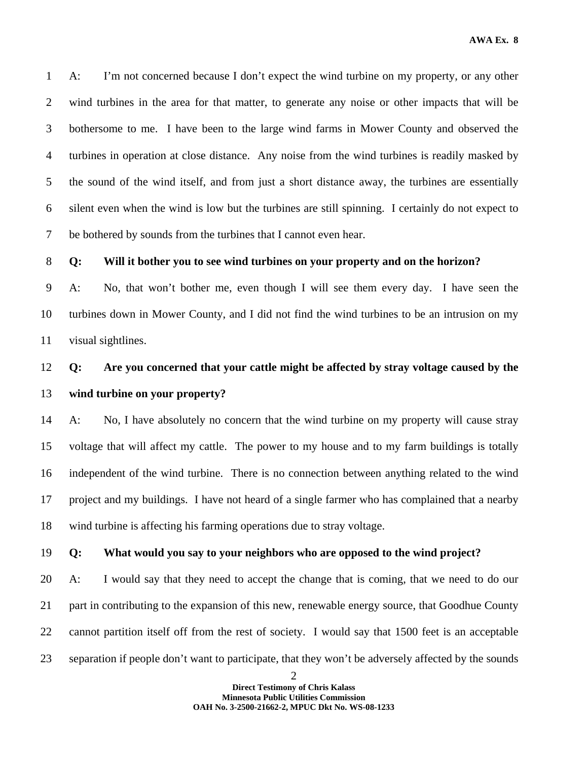1 A: I'm not concerned because I don't expect the wind turbine on my property, or any other 2 wind turbines in the area for that matter, to generate any noise or other impacts that will be 3 bothersome to me. I have been to the large wind farms in Mower County and observed the 4 turbines in operation at close distance. Any noise from the wind turbines is readily masked by 5 the sound of the wind itself, and from just a short distance away, the turbines are essentially 6 silent even when the wind is low but the turbines are still spinning. I certainly do not expect to 7 be bothered by sounds from the turbines that I cannot even hear.

# 8 **Q: Will it bother you to see wind turbines on your property and on the horizon?**

9 A: No, that won't bother me, even though I will see them every day. I have seen the 10 turbines down in Mower County, and I did not find the wind turbines to be an intrusion on my 11 visual sightlines.

# 12 **Q: Are you concerned that your cattle might be affected by stray voltage caused by the**  13 **wind turbine on your property?**

14 A: No, I have absolutely no concern that the wind turbine on my property will cause stray 15 voltage that will affect my cattle. The power to my house and to my farm buildings is totally 16 independent of the wind turbine. There is no connection between anything related to the wind 17 project and my buildings. I have not heard of a single farmer who has complained that a nearby 18 wind turbine is affecting his farming operations due to stray voltage.

## 19 **Q: What would you say to your neighbors who are opposed to the wind project?**

20 A: I would say that they need to accept the change that is coming, that we need to do our 21 part in contributing to the expansion of this new, renewable energy source, that Goodhue County 22 cannot partition itself off from the rest of society. I would say that 1500 feet is an acceptable 23 separation if people don't want to participate, that they won't be adversely affected by the sounds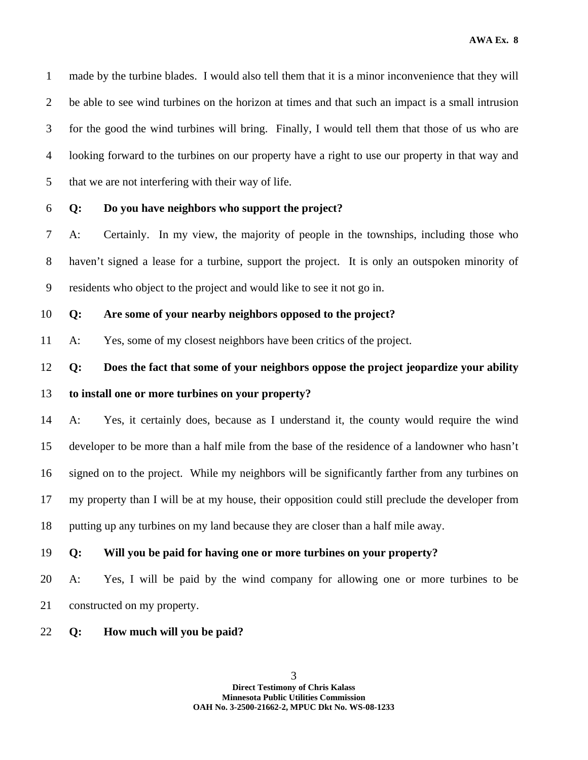1 made by the turbine blades. I would also tell them that it is a minor inconvenience that they will 2 be able to see wind turbines on the horizon at times and that such an impact is a small intrusion 3 for the good the wind turbines will bring. Finally, I would tell them that those of us who are 4 looking forward to the turbines on our property have a right to use our property in that way and 5 that we are not interfering with their way of life.

#### 6 **Q: Do you have neighbors who support the project?**

7 A: Certainly. In my view, the majority of people in the townships, including those who 8 haven't signed a lease for a turbine, support the project. It is only an outspoken minority of 9 residents who object to the project and would like to see it not go in.

# 10 **Q: Are some of your nearby neighbors opposed to the project?**

11 A: Yes, some of my closest neighbors have been critics of the project.

# 12 **Q: Does the fact that some of your neighbors oppose the project jeopardize your ability**  13 **to install one or more turbines on your property?**

14 A: Yes, it certainly does, because as I understand it, the county would require the wind 15 developer to be more than a half mile from the base of the residence of a landowner who hasn't 16 signed on to the project. While my neighbors will be significantly farther from any turbines on 17 my property than I will be at my house, their opposition could still preclude the developer from 18 putting up any turbines on my land because they are closer than a half mile away.

19 **Q: Will you be paid for having one or more turbines on your property?** 

20 A: Yes, I will be paid by the wind company for allowing one or more turbines to be 21 constructed on my property.

22 **Q: How much will you be paid?**